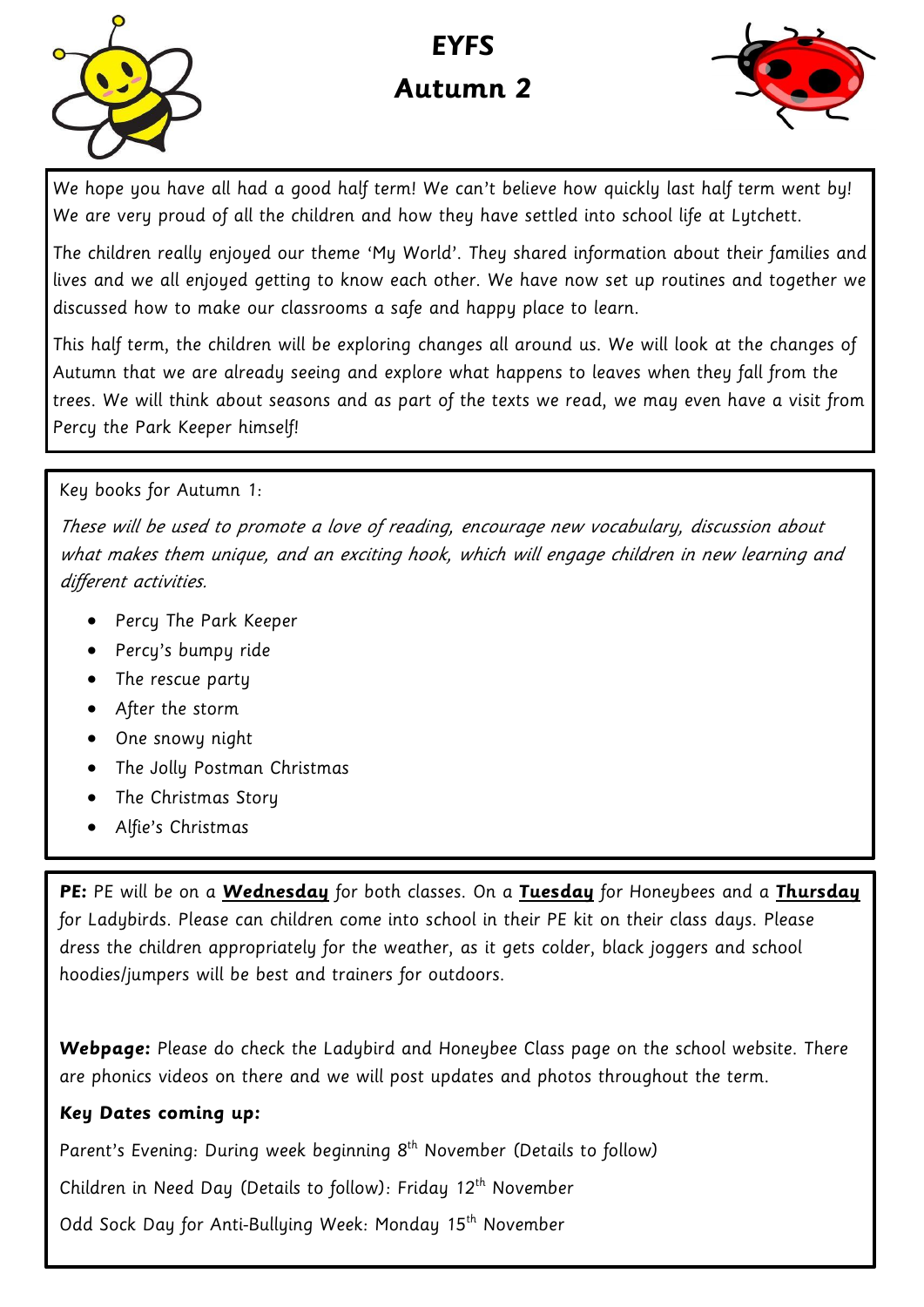

# **EYFS Autumn 2**



We hope you have all had a good half term! We can't believe how quickly last half term went by! We are very proud of all the children and how they have settled into school life at Lytchett.

The children really enjoyed our theme 'My World'. They shared information about their families and lives and we all enjoyed getting to know each other. We have now set up routines and together we discussed how to make our classrooms a safe and happy place to learn.

This half term, the children will be exploring changes all around us. We will look at the changes of Autumn that we are already seeing and explore what happens to leaves when they fall from the trees. We will think about seasons and as part of the texts we read, we may even have a visit from Percy the Park Keeper himself!

#### Key books for Autumn 1:

These will be used to promote a love of reading, encourage new vocabulary, discussion about what makes them unique, and an exciting hook, which will engage children in new learning and different activities.

- Percy The Park Keeper
- Percy's bumpy ride
- The rescue party
- After the storm
- One snowy night
- The Jolly Postman Christmas
- The Christmas Story
- Alfie's Christmas

**PE:** PE will be on a **Wednesday** for both classes. On a **Tuesday** for Honeybees and a **Thursday**  for Ladybirds. Please can children come into school in their PE kit on their class days. Please dress the children appropriately for the weather, as it gets colder, black joggers and school hoodies/jumpers will be best and trainers for outdoors.

**Webpage:** Please do check the Ladybird and Honeybee Class page on the school website. There are phonics videos on there and we will post updates and photos throughout the term.

#### **Key Dates coming up:**

Parent's Evening: During week beginning 8<sup>th</sup> November (Details to follow)

Children in Need Day (Details to follow): Friday 12<sup>th</sup> November

Odd Sock Day for Anti-Bullying Week: Monday 15<sup>th</sup> November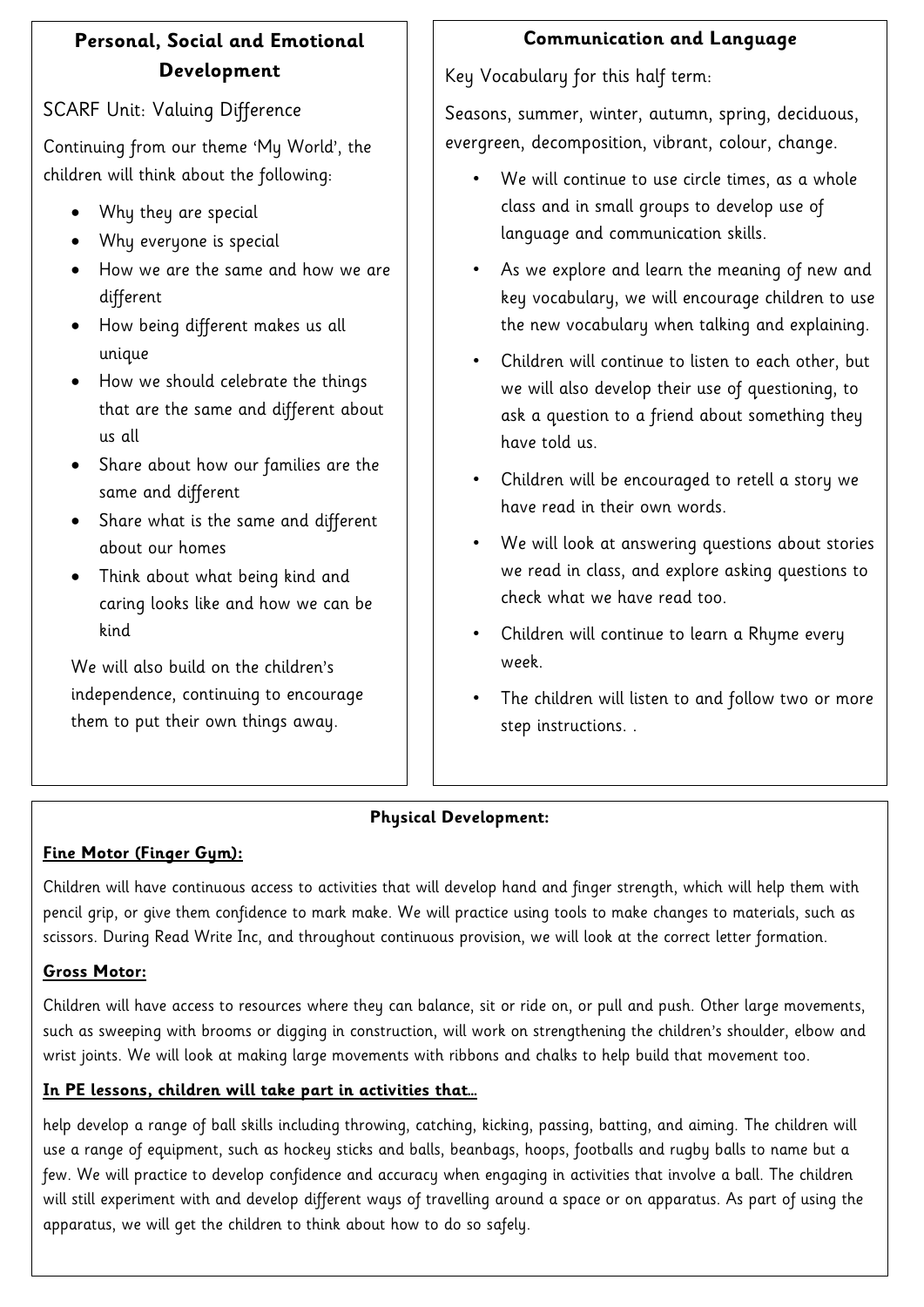## **Personal, Social and Emotional Development**

### SCARF Unit: Valuing Difference

Continuing from our theme 'My World', the children will think about the following:

- Why they are special
- Why everyone is special
- How we are the same and how we are different
- How being different makes us all unique
- How we should celebrate the things that are the same and different about us all
- Share about how our families are the same and different
- Share what is the same and different about our homes
- Think about what being kind and caring looks like and how we can be kind

We will also build on the children's independence, continuing to encourage them to put their own things away.

## **Communication and Language**

Key Vocabulary for this half term:

Seasons, summer, winter, autumn, spring, deciduous, evergreen, decomposition, vibrant, colour, change.

- We will continue to use circle times, as a whole class and in small groups to develop use of language and communication skills.
- As we explore and learn the meaning of new and key vocabulary, we will encourage children to use the new vocabulary when talking and explaining.
- Children will continue to listen to each other, but we will also develop their use of questioning, to ask a question to a friend about something they have told us.
- Children will be encouraged to retell a story we have read in their own words.
- We will look at answering questions about stories we read in class, and explore asking questions to check what we have read too.
- Children will continue to learn a Rhyme every week.
- The children will listen to and follow two or more step instructions. .

### **Physical Development:**

### **Fine Motor (Finger Gym):**

Children will have continuous access to activities that will develop hand and finger strength, which will help them with pencil grip, or give them confidence to mark make. We will practice using tools to make changes to materials, such as scissors. During Read Write Inc, and throughout continuous provision, we will look at the correct letter formation.

### **Gross Motor:**

Children will have access to resources where they can balance, sit or ride on, or pull and push. Other large movements, such as sweeping with brooms or digging in construction, will work on strengthening the children's shoulder, elbow and wrist joints. We will look at making large movements with ribbons and chalks to help build that movement too.

### **In PE lessons, children will take part in activities that…**

help develop a range of ball skills including throwing, catching, kicking, passing, batting, and aiming. The children will use a range of equipment, such as hockey sticks and balls, beanbags, hoops, footballs and rugby balls to name but a few. We will practice to develop confidence and accuracy when engaging in activities that involve a ball. The children will still experiment with and develop different ways of travelling around a space or on apparatus. As part of using the apparatus, we will get the children to think about how to do so safely.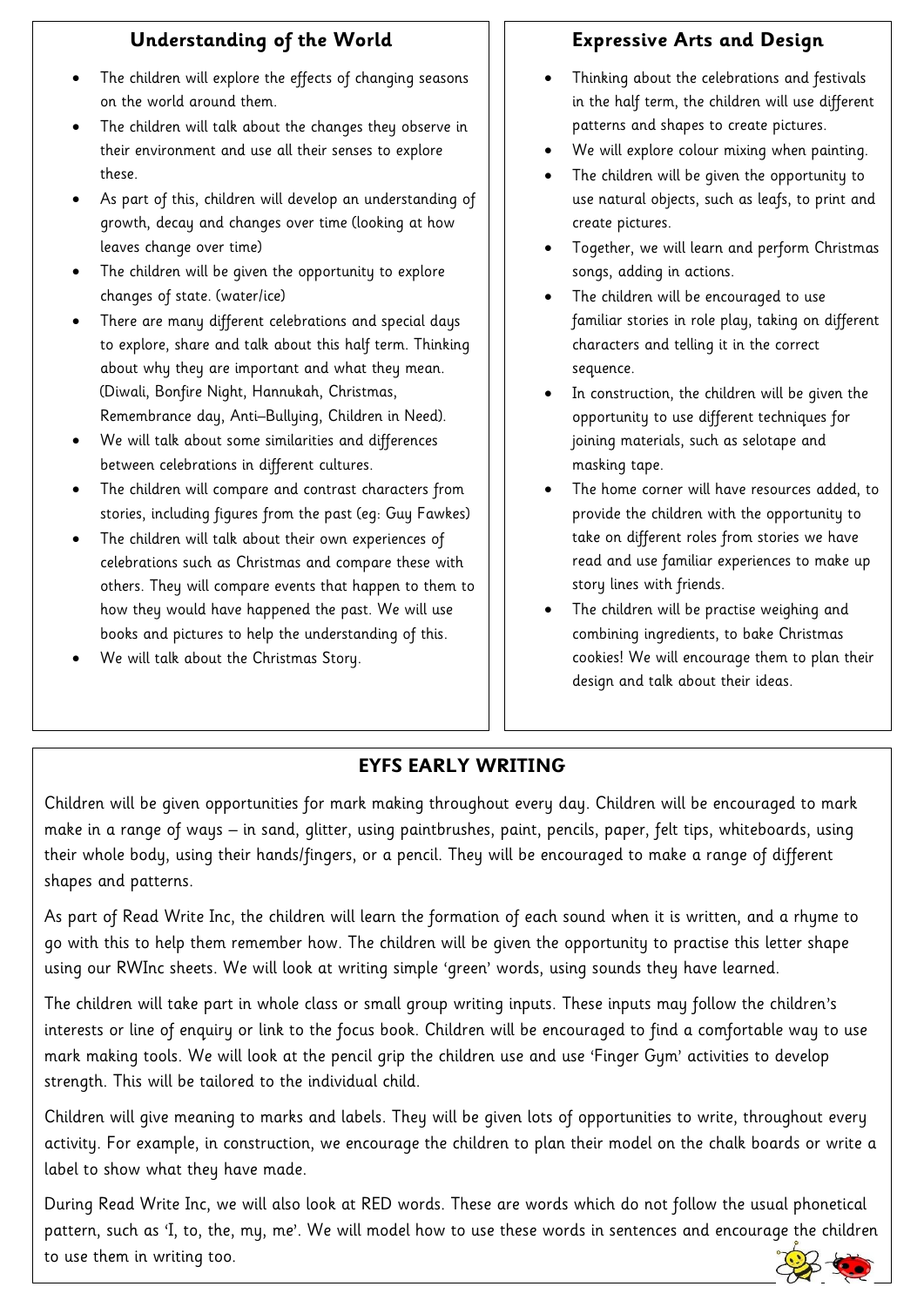#### **Understanding of the World**

- The children will explore the effects of changing seasons on the world around them.
- The children will talk about the changes they observe in their environment and use all their senses to explore these.
- As part of this, children will develop an understanding of growth, decay and changes over time (looking at how leaves change over time)
- The children will be given the opportunity to explore changes of state. (water/ice)
- There are many different celebrations and special days to explore, share and talk about this half term. Thinking about why they are important and what they mean. (Diwali, Bonfire Night, Hannukah, Christmas, Remembrance day, Anti–Bullying, Children in Need).
- We will talk about some similarities and differences between celebrations in different cultures.
- The children will compare and contrast characters from stories, including figures from the past (eg: Guy Fawkes)
- The children will talk about their own experiences of celebrations such as Christmas and compare these with others. They will compare events that happen to them to how they would have happened the past. We will use books and pictures to help the understanding of this.
- We will talk about the Christmas Story.

### **Expressive Arts and Design**

- Thinking about the celebrations and festivals in the half term, the children will use different patterns and shapes to create pictures.
- We will explore colour mixing when painting.
- The children will be given the opportunity to use natural objects, such as leafs, to print and create pictures.
- Together, we will learn and perform Christmas songs, adding in actions.
- The children will be encouraged to use familiar stories in role play, taking on different characters and telling it in the correct sequence.
- In construction, the children will be given the opportunity to use different techniques for joining materials, such as selotape and masking tape.
- The home corner will have resources added, to provide the children with the opportunity to take on different roles from stories we have read and use familiar experiences to make up story lines with friends.
- The children will be practise weighing and combining ingredients, to bake Christmas cookies! We will encourage them to plan their design and talk about their ideas.

# **EYFS EARLY WRITING**

Children will be given opportunities for mark making throughout every day. Children will be encouraged to mark make in a range of ways – in sand, glitter, using paintbrushes, paint, pencils, paper, felt tips, whiteboards, using their whole body, using their hands/fingers, or a pencil. They will be encouraged to make a range of different shapes and patterns.

As part of Read Write Inc, the children will learn the formation of each sound when it is written, and a rhyme to go with this to help them remember how. The children will be given the opportunity to practise this letter shape using our RWInc sheets. We will look at writing simple 'green' words, using sounds they have learned.

The children will take part in whole class or small group writing inputs. These inputs may follow the children's interests or line of enquiry or link to the focus book. Children will be encouraged to find a comfortable way to use mark making tools. We will look at the pencil grip the children use and use 'Finger Gym' activities to develop strength. This will be tailored to the individual child.

Children will give meaning to marks and labels. They will be given lots of opportunities to write, throughout every activity. For example, in construction, we encourage the children to plan their model on the chalk boards or write a label to show what they have made.

During Read Write Inc, we will also look at RED words. These are words which do not follow the usual phonetical pattern, such as 'I, to, the, my, me'. We will model how to use these words in sentences and encourage the children to use them in writing too.